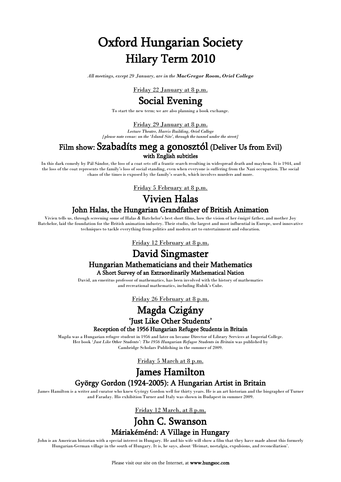# Oxford Hungarian Society Hilary Term 2010

*All meetings, except 29 January, are in the MacGregor Room, Oriel College*

Friday 22 January at 8 p.m.

## Social Evening

To start the new term; we are also planning a book exchange.

#### Friday 29 January at 8 p.m.

*Lecture Theatre, Harris Building, Oriel College [please note venue: on the 'Island Site', through the tunnel under the street]*

# Film show: Szabadíts meg a gonosztól (Deliver Us from Evil)

#### with English subtitles

In this dark comedy by Pál Sándor, the loss of a coat sets off a frantic search resulting in widespread death and mayhem. It is 1944, and the loss of the coat represents the family's loss of social standing, even when everyone is suffering from the Nazi occupation. The social chaos of the times is exposed by the family's search, which involves murders and more.

Friday 5 February at 8 p.m.

## Vivien Halas

### John Halas, the Hungarian Grandfather of British Animation

Vivien tells us, through screening some of Halas & Batchelor's best short films, how the vision of her émigré father, and mother Joy Batchelor, laid the foundation for the British animation industry. Their studio, the largest and most influential in Europe, used innovative techniques to tackle everything from politics and modern art to entertainment and education.

Friday 12 February at 8 p.m.

## David Singmaster

# Hungarian Mathematicians and their Mathematics A Short Survey of an Extraordinarily Mathematical Nation

David, an emeritus professor of mathematics, has been involved with the history of mathematics and recreational mathematics, including Rubik's Cube.

Friday 26 February at 8 p.m.

## Magda Czigány

# 'Just Like Other Students' Reception of the 1956 Hungarian Refugee Students in Britain

Magda was a Hungarian refugee student in 1956 and later on became Director of Library Services at Imperial College. Her book *'Just Like Other Students': The 1956 Hungarian Refugee Students in Britain* was published by Cambridge Scholars Publishing in the summer of 2009.

Friday 5 March at 8 p.m.

## James Hamilton György Gordon (1924-2005): A Hungarian Artist in Britain

James Hamilton is a writer and curator who knew György Gordon well for thirty years. He is an art historian and the biographer of Turner and Faraday. His exhibition Turner and Italy was shown in Budapest in summer 2009.

Friday 12 March, at 8 p.m.

## John C. Swanson Máriakéménd: A Village in Hungary

John is an American historian with a special interest in Hungary. He and his wife will show a film that they have made about this formerly Hungarian-German village in the south of Hungary. It is, he says, about 'Heimat, nostalgia, expulsions, and reconciliation'.